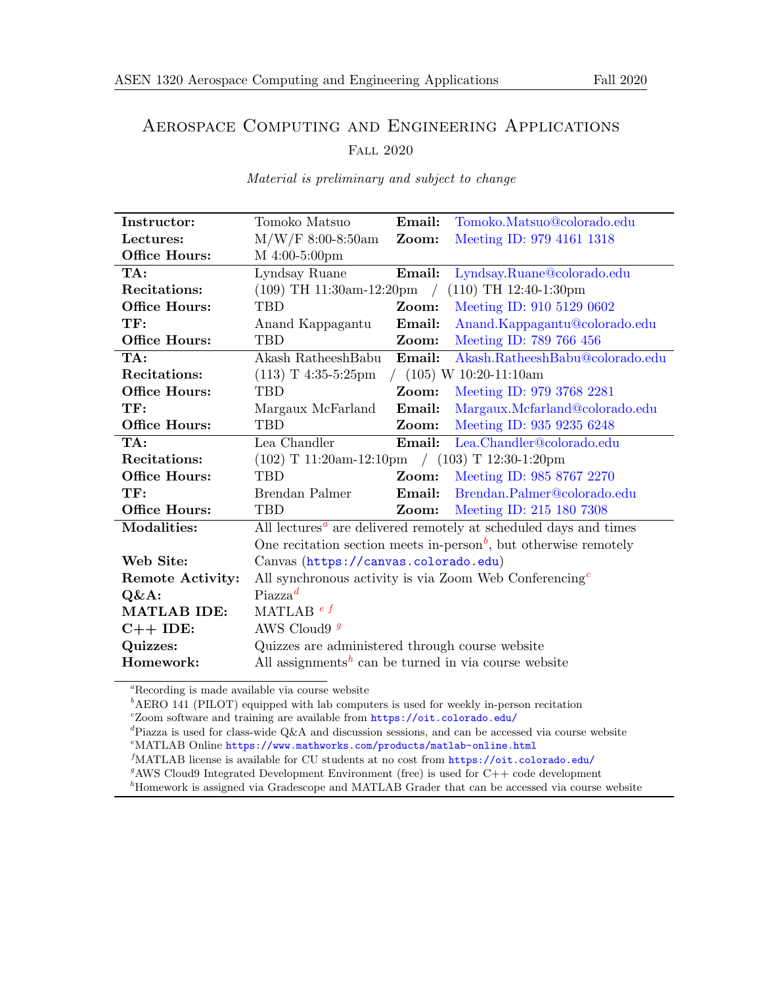# Aerospace Computing and Engineering Applications Fall 2020

Material is preliminary and subject to change

| Instructor:             | Tomoko Matsuo                                                                             | Email: | Tomoko.Matsuo@colorado.edu      |  |
|-------------------------|-------------------------------------------------------------------------------------------|--------|---------------------------------|--|
| Lectures:               | $M/W/F$ 8:00-8:50am                                                                       | Zoom:  | Meeting ID: 979 4161 1318       |  |
| <b>Office Hours:</b>    | M 4:00-5:00pm                                                                             |        |                                 |  |
| TA:                     | Lyndsay Ruane                                                                             | Email: | Lyndsay.Ruane@colorado.edu      |  |
| Recitations:            | $(109)$ TH 11:30am-12:20pm /                                                              |        | $(110)$ TH 12:40-1:30pm         |  |
| <b>Office Hours:</b>    | <b>TBD</b>                                                                                | Zoom:  | Meeting ID: 910 5129 0602       |  |
| TF:                     | Anand Kappagantu                                                                          | Email: | Anand.Kappagantu@colorado.edu   |  |
| Office Hours:           | <b>TBD</b>                                                                                | Zoom:  | Meeting ID: 789 766 456         |  |
| TA:                     | Akash RatheeshBabu                                                                        | Email: | Akash.RatheeshBabu@colorado.edu |  |
| Recitations:            | $(113)$ T 4:35-5:25pm<br>$/$ (105) W 10:20-11:10am                                        |        |                                 |  |
| <b>Office Hours:</b>    | TBD                                                                                       | Zoom:  | Meeting ID: 979 3768 2281       |  |
| TF:                     | Margaux McFarland                                                                         | Email: | Margaux.Mcfarland@colorado.edu  |  |
| Office Hours:           | <b>TBD</b>                                                                                | Zoom:  | Meeting ID: 935 9235 6248       |  |
| TA:                     | Lea Chandler                                                                              | Email: | Lea.Chandler@colorado.edu       |  |
| Recitations:            | $(102)$ T 11:20am-12:10pm $/$ (103) T 12:30-1:20pm                                        |        |                                 |  |
| <b>Office Hours:</b>    | <b>TBD</b>                                                                                | Zoom:  | Meeting ID: 985 8767 2270       |  |
| TF:                     | Brendan Palmer                                                                            | Email: | Brendan.Palmer@colorado.edu     |  |
| Office Hours:           | <b>TBD</b>                                                                                | Zoom:  | Meeting ID: 215 180 7308        |  |
| Modalities:             | All lectures <sup><math>a</math></sup> are delivered remotely at scheduled days and times |        |                                 |  |
|                         | One recitation section meets in-person <sup>b</sup> , but otherwise remotely              |        |                                 |  |
| Web Site:               | Canvas (https://canvas.colorado.edu)                                                      |        |                                 |  |
| <b>Remote Activity:</b> | All synchronous activity is via Zoom Web Conferencing <sup><math>c</math></sup>           |        |                                 |  |
| $Q\&A$ :                | $Piazza^d$                                                                                |        |                                 |  |
| <b>MATLAB IDE:</b>      | MATLAB $e f$                                                                              |        |                                 |  |
| $C++$ IDE:              | AWS Cloud9 <sup>9</sup>                                                                   |        |                                 |  |
| Quizzes:                | Quizzes are administered through course website                                           |        |                                 |  |
| Homework:               | All assignments <sup>h</sup> can be turned in via course website                          |        |                                 |  |

<span id="page-0-0"></span> ${}^a$ Recording is made available via course website

<span id="page-0-1"></span> $<sup>b</sup>$ AERO 141 (PILOT) equipped with lab computers is used for weekly in-person recitation</sup>

<span id="page-0-2"></span> $c$ Zoom software and training are available from  $\texttt{https://oit.colorado.edu/}$  $\texttt{https://oit.colorado.edu/}$  $\texttt{https://oit.colorado.edu/}$ 

<span id="page-0-4"></span><span id="page-0-3"></span><sup>d</sup>Piazza is used for class-wide  $Q\&A$  and discussion sessions, and can be accessed via course website <sup>e</sup>MATLAB Online <https://www.mathworks.com/products/matlab-online.html>

<span id="page-0-5"></span><sup>f</sup>MATLAB license is available for CU students at no cost from <https://oit.colorado.edu/>

<span id="page-0-6"></span><sup>&</sup>lt;sup>g</sup>AWS Cloud9 Integrated Development Environment (free) is used for  $C++$  code development

<span id="page-0-7"></span> ${}^h$ Homework is assigned via Gradescope and MATLAB Grader that can be accessed via course website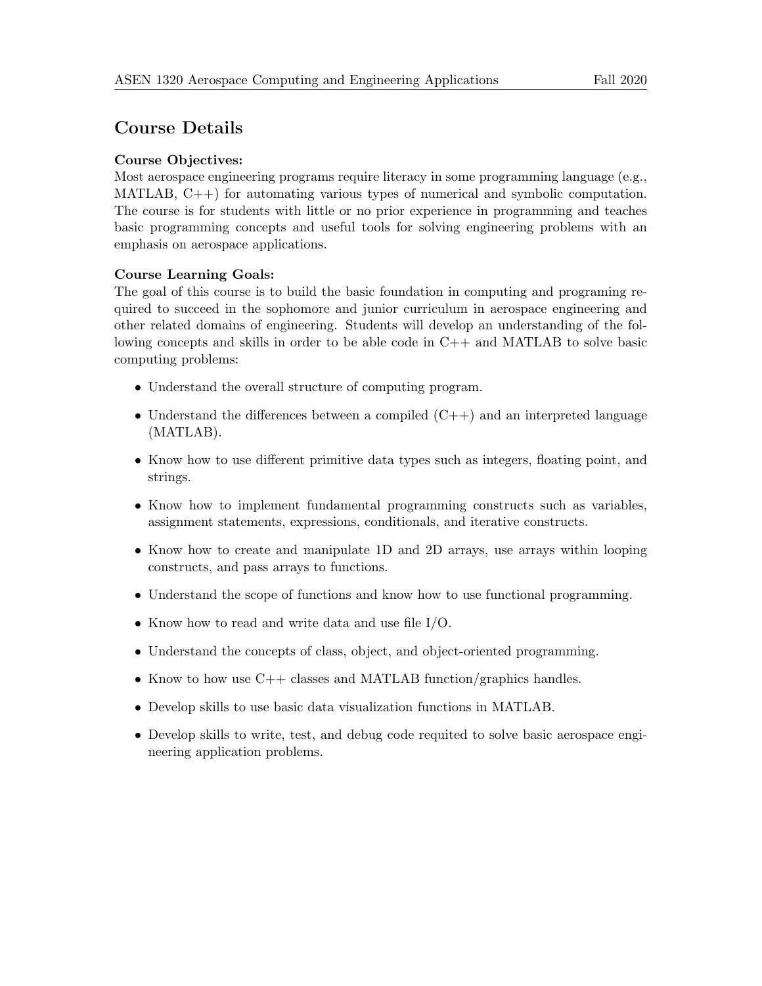# Course Details

#### Course Objectives:

Most aerospace engineering programs require literacy in some programming language (e.g., MATLAB,  $C_{++}$  for automating various types of numerical and symbolic computation. The course is for students with little or no prior experience in programming and teaches basic programming concepts and useful tools for solving engineering problems with an emphasis on aerospace applications.

# Course Learning Goals:

The goal of this course is to build the basic foundation in computing and programing required to succeed in the sophomore and junior curriculum in aerospace engineering and other related domains of engineering. Students will develop an understanding of the following concepts and skills in order to be able code in C++ and MATLAB to solve basic computing problems:

- Understand the overall structure of computing program.
- Understand the differences between a compiled  $(C++)$  and an interpreted language (MATLAB).
- Know how to use different primitive data types such as integers, floating point, and strings.
- Know how to implement fundamental programming constructs such as variables, assignment statements, expressions, conditionals, and iterative constructs.
- Know how to create and manipulate 1D and 2D arrays, use arrays within looping constructs, and pass arrays to functions.
- Understand the scope of functions and know how to use functional programming.
- Know how to read and write data and use file I/O.
- Understand the concepts of class, object, and object-oriented programming.
- Know to how use  $C_{++}$  classes and MATLAB function/graphics handles.
- Develop skills to use basic data visualization functions in MATLAB.
- Develop skills to write, test, and debug code requited to solve basic aerospace engineering application problems.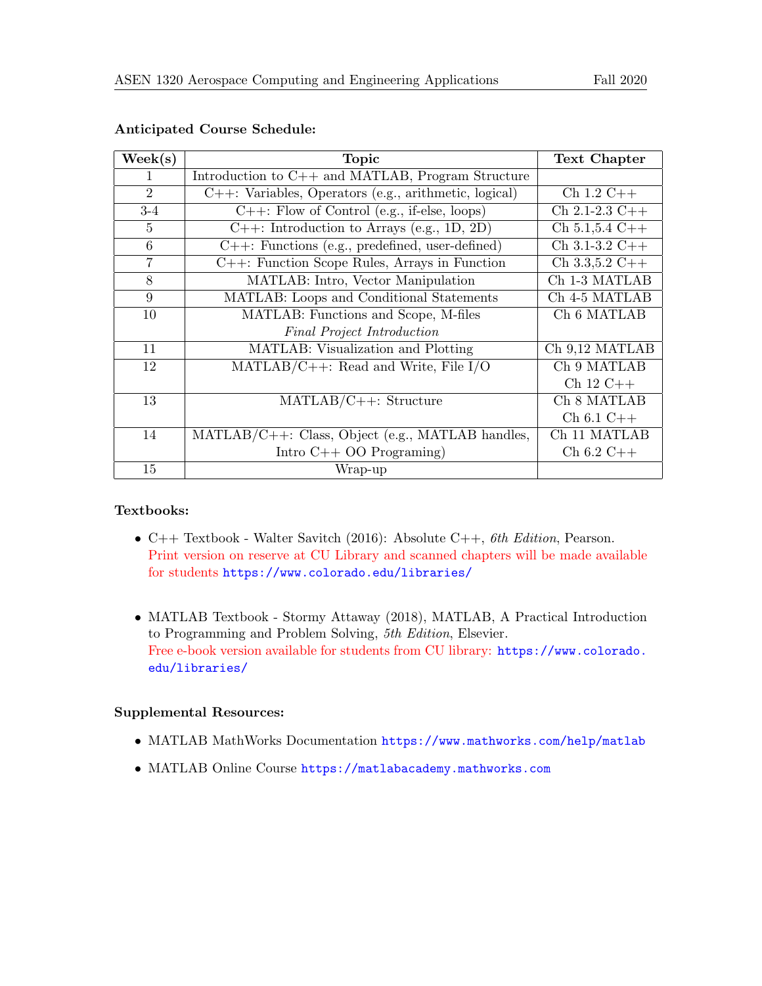| $\text{Week}(s)$ | <b>Topic</b>                                          | <b>Text Chapter</b> |
|------------------|-------------------------------------------------------|---------------------|
| $\mathbf{1}$     | Introduction to C++ and MATLAB, Program Structure     |                     |
| 2                | C++: Variables, Operators (e.g., arithmetic, logical) | $Ch 1.2 C++$        |
| $3-4$            | $C++:$ Flow of Control (e.g., if-else, loops)         | $Ch$ 2.1-2.3 $C++$  |
| $\overline{5}$   | $C++$ : Introduction to Arrays (e.g., 1D, 2D)         | $Ch 5.1, 5.4 C++$   |
| 6                | $C++$ : Functions (e.g., predefined, user-defined)    | $Ch$ 3.1-3.2 $C++$  |
| 7                | $C++$ : Function Scope Rules, Arrays in Function      | $Ch$ 3.3,5.2 $C++$  |
| 8                | MATLAB: Intro, Vector Manipulation                    | Ch 1-3 MATLAB       |
| 9                | MATLAB: Loops and Conditional Statements              | Ch 4-5 MATLAB       |
| 10               | MATLAB: Functions and Scope, M-files                  | Ch 6 MATLAB         |
|                  | Final Project Introduction                            |                     |
| 11               | MATLAB: Visualization and Plotting                    | Ch 9,12 MATLAB      |
| 12               | $MATLAB/C++: Read and Write, File I/O$                | Ch 9 MATLAB         |
|                  |                                                       | $Ch 12 C++$         |
| 13               | $MATLAB/C++$ : Structure                              | Ch 8 MATLAB         |
|                  |                                                       | $Ch 6.1 C++$        |
| 14               | MATLAB/C++: Class, Object (e.g., MATLAB handles,      | Ch 11 MATLAB        |
|                  | Intro $C++$ OO Programing)                            | $Ch 6.2 C++$        |
| 15               | Wrap-up                                               |                     |

#### Anticipated Course Schedule:

# Textbooks:

- $C++$  Textbook Walter Savitch (2016): Absolute  $C++$ , 6th Edition, Pearson. Print version on reserve at CU Library and scanned chapters will be made available for students <https://www.colorado.edu/libraries/>
- MATLAB Textbook Stormy Attaway (2018), MATLAB, A Practical Introduction to Programming and Problem Solving, 5th Edition, Elsevier. Free e-book version available for students from CU library: [https://www.colorado.](https://www.colorado.edu/libraries/) [edu/libraries/](https://www.colorado.edu/libraries/)

# Supplemental Resources:

- MATLAB MathWorks Documentation <https://www.mathworks.com/help/matlab>
- MATLAB Online Course <https://matlabacademy.mathworks.com>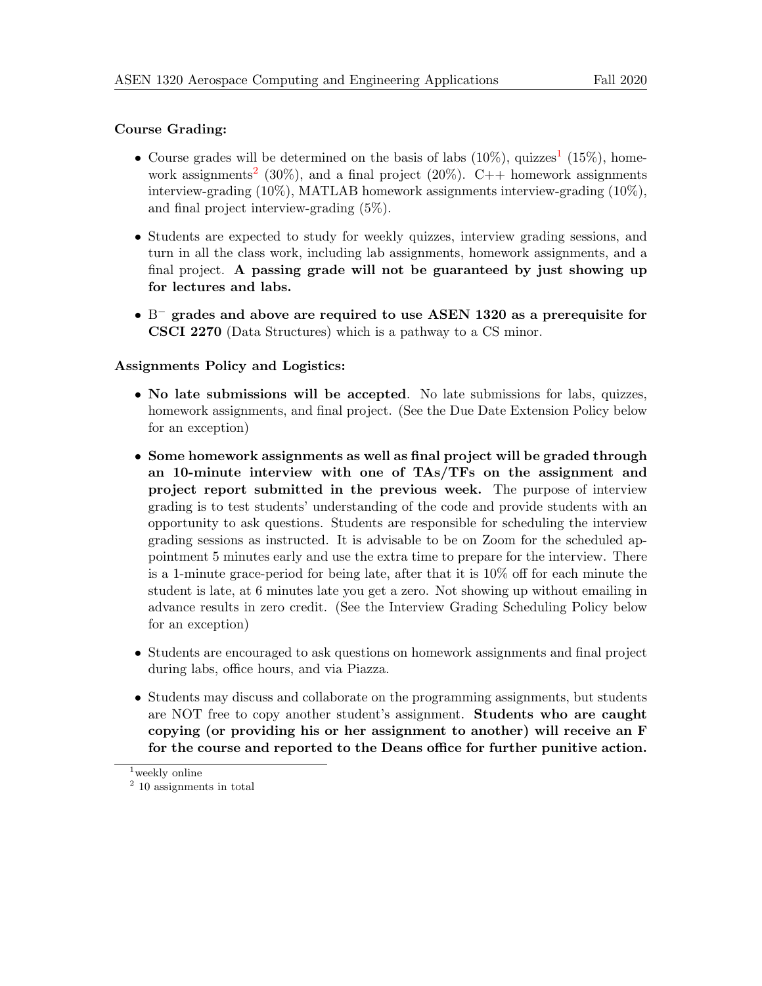# Course Grading:

- Course grades will be determined on the basis of labs  $(10\%)$  $(10\%)$  $(10\%)$ , quizzes<sup>1</sup>  $(15\%)$ , home-work assignments<sup>[2](#page-3-1)</sup> (30%), and a final project (20%). C++ homework assignments interview-grading (10%), MATLAB homework assignments interview-grading (10%), and final project interview-grading (5%).
- Students are expected to study for weekly quizzes, interview grading sessions, and turn in all the class work, including lab assignments, homework assignments, and a final project. A passing grade will not be guaranteed by just showing up for lectures and labs.
- $B^-$  grades and above are required to use ASEN 1320 as a prerequisite for CSCI 2270 (Data Structures) which is a pathway to a CS minor.

# Assignments Policy and Logistics:

- No late submissions will be accepted. No late submissions for labs, quizzes, homework assignments, and final project. (See the Due Date Extension Policy below for an exception)
- Some homework assignments as well as final project will be graded through an 10-minute interview with one of TAs/TFs on the assignment and project report submitted in the previous week. The purpose of interview grading is to test students' understanding of the code and provide students with an opportunity to ask questions. Students are responsible for scheduling the interview grading sessions as instructed. It is advisable to be on Zoom for the scheduled appointment 5 minutes early and use the extra time to prepare for the interview. There is a 1-minute grace-period for being late, after that it is 10% off for each minute the student is late, at 6 minutes late you get a zero. Not showing up without emailing in advance results in zero credit. (See the Interview Grading Scheduling Policy below for an exception)
- Students are encouraged to ask questions on homework assignments and final project during labs, office hours, and via Piazza.
- Students may discuss and collaborate on the programming assignments, but students are NOT free to copy another student's assignment. Students who are caught copying (or providing his or her assignment to another) will receive an F for the course and reported to the Deans office for further punitive action.

<span id="page-3-0"></span><sup>&</sup>lt;sup>1</sup>weekly online

<span id="page-3-1"></span><sup>2</sup> 10 assignments in total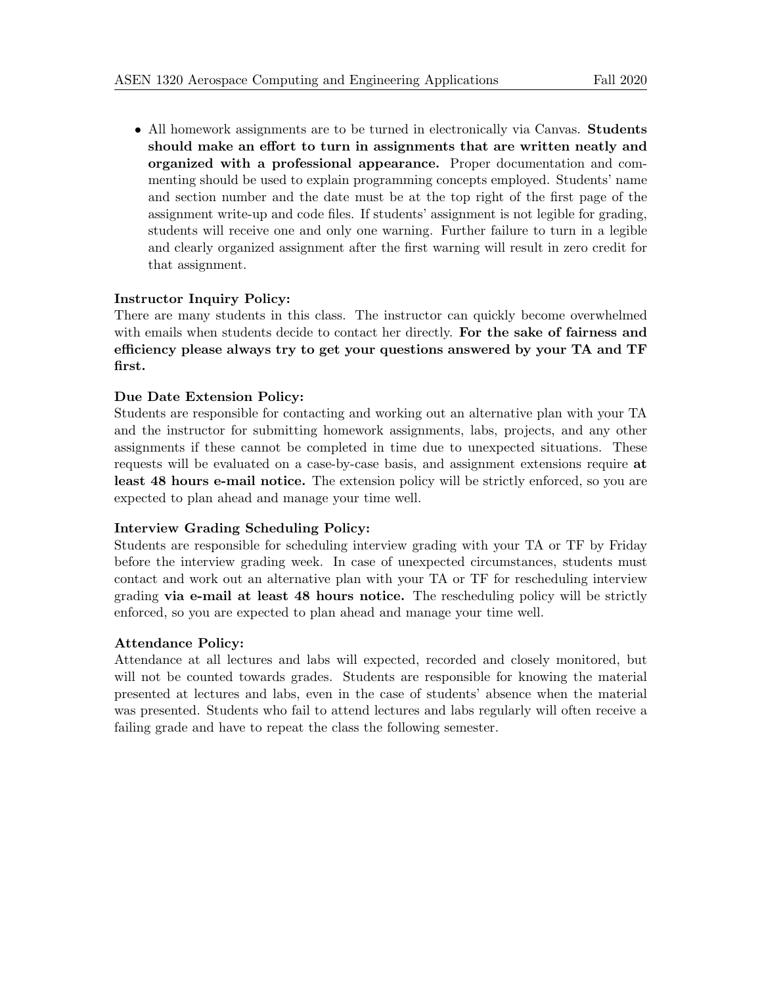• All homework assignments are to be turned in electronically via Canvas. Students should make an effort to turn in assignments that are written neatly and organized with a professional appearance. Proper documentation and commenting should be used to explain programming concepts employed. Students' name and section number and the date must be at the top right of the first page of the assignment write-up and code files. If students' assignment is not legible for grading, students will receive one and only one warning. Further failure to turn in a legible and clearly organized assignment after the first warning will result in zero credit for that assignment.

#### Instructor Inquiry Policy:

There are many students in this class. The instructor can quickly become overwhelmed with emails when students decide to contact her directly. For the sake of fairness and efficiency please always try to get your questions answered by your TA and TF first.

#### Due Date Extension Policy:

Students are responsible for contacting and working out an alternative plan with your TA and the instructor for submitting homework assignments, labs, projects, and any other assignments if these cannot be completed in time due to unexpected situations. These requests will be evaluated on a case-by-case basis, and assignment extensions require at least 48 hours e-mail notice. The extension policy will be strictly enforced, so you are expected to plan ahead and manage your time well.

#### Interview Grading Scheduling Policy:

Students are responsible for scheduling interview grading with your TA or TF by Friday before the interview grading week. In case of unexpected circumstances, students must contact and work out an alternative plan with your TA or TF for rescheduling interview grading via e-mail at least 48 hours notice. The rescheduling policy will be strictly enforced, so you are expected to plan ahead and manage your time well.

#### Attendance Policy:

Attendance at all lectures and labs will expected, recorded and closely monitored, but will not be counted towards grades. Students are responsible for knowing the material presented at lectures and labs, even in the case of students' absence when the material was presented. Students who fail to attend lectures and labs regularly will often receive a failing grade and have to repeat the class the following semester.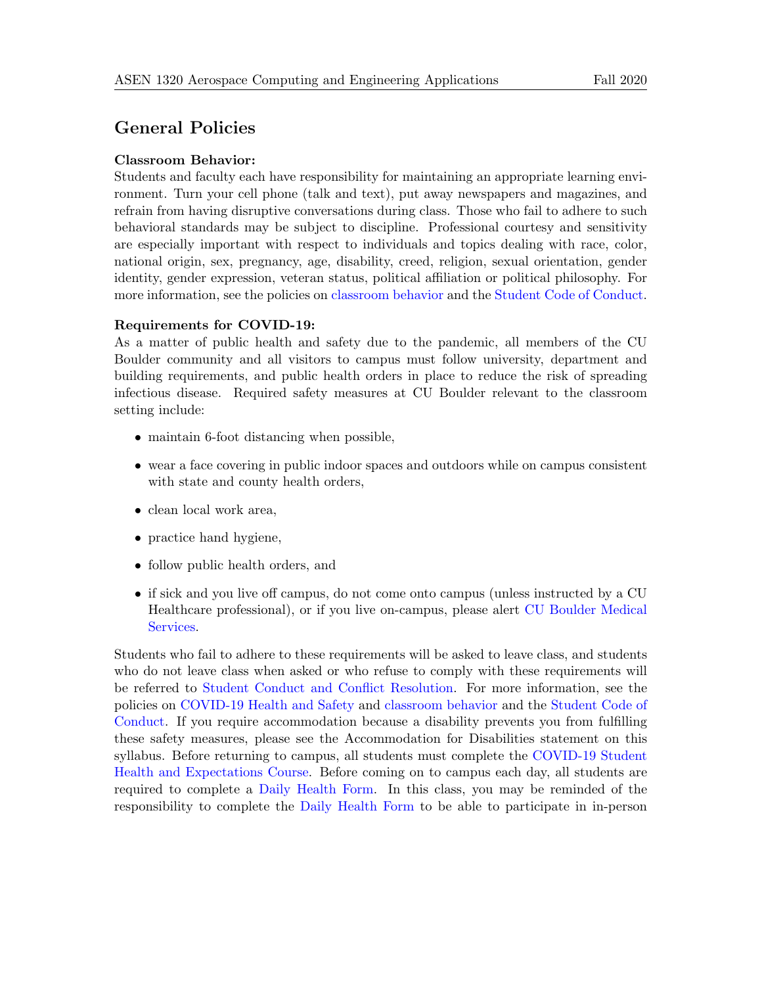# General Policies

### Classroom Behavior:

Students and faculty each have responsibility for maintaining an appropriate learning environment. Turn your cell phone (talk and text), put away newspapers and magazines, and refrain from having disruptive conversations during class. Those who fail to adhere to such behavioral standards may be subject to discipline. Professional courtesy and sensitivity are especially important with respect to individuals and topics dealing with race, color, national origin, sex, pregnancy, age, disability, creed, religion, sexual orientation, gender identity, gender expression, veteran status, political affiliation or political philosophy. For more information, see the policies on [classroom behavior](https://www.colorado.edu/policies/student-classroom-course-related-behavior) and the [Student Code of Conduct.](https://www.colorado.edu/sccr/sites/default/files/attached-files/2019-2020_student_code_of_conduct_0.pdf)

#### Requirements for COVID-19:

As a matter of public health and safety due to the pandemic, all members of the CU Boulder community and all visitors to campus must follow university, department and building requirements, and public health orders in place to reduce the risk of spreading infectious disease. Required safety measures at CU Boulder relevant to the classroom setting include:

- maintain 6-foot distancing when possible,
- wear a face covering in public indoor spaces and outdoors while on campus consistent with state and county health orders,
- clean local work area,
- practice hand hygiene,
- follow public health orders, and
- if sick and you live off campus, do not come onto campus (unless instructed by a CU Healthcare professional), or if you live on-campus, please alert [CU Boulder Medical](https://www.colorado.edu/healthcenter/coronavirus-updates/symptoms-and-what-do-if-you-feel-sick) [Services.](https://www.colorado.edu/healthcenter/coronavirus-updates/symptoms-and-what-do-if-you-feel-sick)

Students who fail to adhere to these requirements will be asked to leave class, and students who do not leave class when asked or who refuse to comply with these requirements will be referred to [Student Conduct and Conflict Resolution.](https://www.colorado.edu/sccr/) For more information, see the policies on [COVID-19 Health and Safety](https://www.colorado.edu/policies/covid-19-health-and-safety-policy) and [classroom behavior](https://www.colorado.edu/policies/student-classroom-course-related-behavior) and the [Student Code of](https://www.colorado.edu/sccr/sites/default/files/attached-files/2019-2020_student_code_of_conduct_0.pdf) [Conduct.](https://www.colorado.edu/sccr/sites/default/files/attached-files/2019-2020_student_code_of_conduct_0.pdf) If you require accommodation because a disability prevents you from fulfilling these safety measures, please see the Accommodation for Disabilities statement on this syllabus. Before returning to campus, all students must complete the [COVID-19 Student](https://www.colorado.edu/protect-our-herd/how#anchor1) [Health and Expectations Course.](https://www.colorado.edu/protect-our-herd/how#anchor1) Before coming on to campus each day, all students are required to complete a [Daily Health Form.](https://www.colorado.edu/protect-our-herd/daily-health-form) In this class, you may be reminded of the responsibility to complete the [Daily Health Form](https://www.colorado.edu/protect-our-herd/daily-health-form) to be able to participate in in-person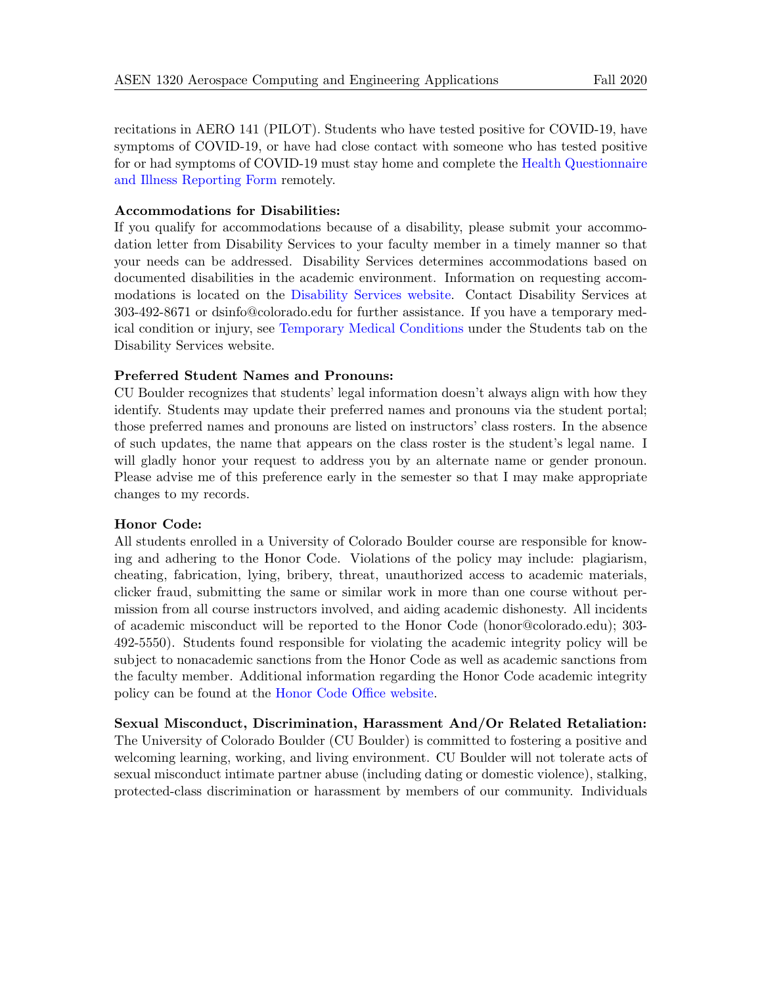recitations in AERO 141 (PILOT). Students who have tested positive for COVID-19, have symptoms of COVID-19, or have had close contact with someone who has tested positive for or had symptoms of COVID-19 must stay home and complete the [Health Questionnaire](https://www.colorado.edu/protect-our-herd/daily-health-form) [and Illness Reporting Form](https://www.colorado.edu/protect-our-herd/daily-health-form) remotely.

#### Accommodations for Disabilities:

If you qualify for accommodations because of a disability, please submit your accommodation letter from Disability Services to your faculty member in a timely manner so that your needs can be addressed. Disability Services determines accommodations based on documented disabilities in the academic environment. Information on requesting accommodations is located on the [Disability Services website.](http://www.colorado.edu/disabilityservices/students) Contact Disability Services at 303-492-8671 or dsinfo@colorado.edu for further assistance. If you have a temporary medical condition or injury, see [Temporary Medical Conditions](http://www.colorado.edu/disabilityservices/students/temporary-medical-conditions) under the Students tab on the Disability Services website.

#### Preferred Student Names and Pronouns:

CU Boulder recognizes that students' legal information doesn't always align with how they identify. Students may update their preferred names and pronouns via the student portal; those preferred names and pronouns are listed on instructors' class rosters. In the absence of such updates, the name that appears on the class roster is the student's legal name. I will gladly honor your request to address you by an alternate name or gender pronoun. Please advise me of this preference early in the semester so that I may make appropriate changes to my records.

#### Honor Code:

All students enrolled in a University of Colorado Boulder course are responsible for knowing and adhering to the Honor Code. Violations of the policy may include: plagiarism, cheating, fabrication, lying, bribery, threat, unauthorized access to academic materials, clicker fraud, submitting the same or similar work in more than one course without permission from all course instructors involved, and aiding academic dishonesty. All incidents of academic misconduct will be reported to the Honor Code (honor@colorado.edu); 303- 492-5550). Students found responsible for violating the academic integrity policy will be subject to nonacademic sanctions from the Honor Code as well as academic sanctions from the faculty member. Additional information regarding the Honor Code academic integrity policy can be found at the [Honor Code Office website.](https://www.colorado.edu/sccr/honor-code)

Sexual Misconduct, Discrimination, Harassment And/Or Related Retaliation: The University of Colorado Boulder (CU Boulder) is committed to fostering a positive and welcoming learning, working, and living environment. CU Boulder will not tolerate acts of sexual misconduct intimate partner abuse (including dating or domestic violence), stalking, protected-class discrimination or harassment by members of our community. Individuals